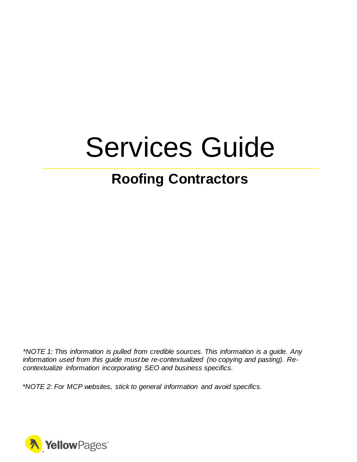# Services Guide

# **Roofing Contractors**

*\*NOTE 1: This information is pulled from credible sources. This information is a guide. Any information used from this guide must be re-contextualized (no copying and pasting). Recontextualize information incorporating SEO and business specifics.*

*\*NOTE 2: For MCP websites, stick to general information and avoid specifics.*

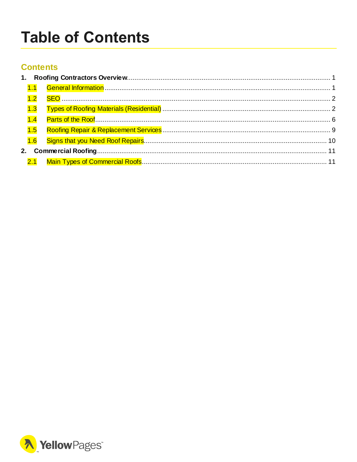# <span id="page-1-0"></span>**Table of Contents**

# **Contents**

| 1.3 |  |
|-----|--|
| 1.4 |  |
| 1.5 |  |
|     |  |
|     |  |
|     |  |
|     |  |

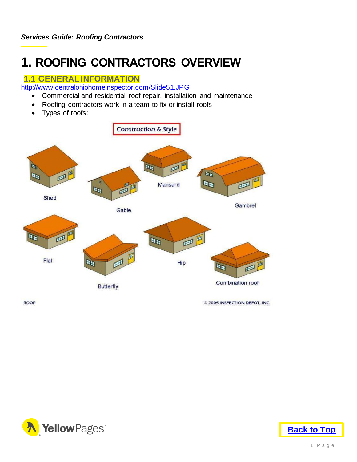# <span id="page-2-0"></span>**1. ROOFING CONTRACTORS OVERVIEW**

# <span id="page-2-1"></span>**1.1 GENERAL INFORMATION**

<http://www.centralohiohomeinspector.com/Slide51.JPG>

- Commercial and residential roof repair, installation and maintenance
- Roofing contractors work in a team to fix or install roofs
- Types of roofs:



**ROOF** 

@ 2005 INSPECTION DEPOT, INC.



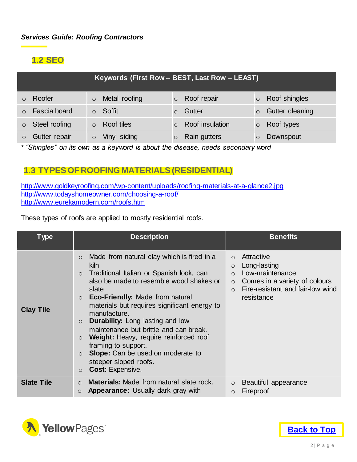# <span id="page-3-0"></span>**1.2 SEO**

| Keywords (First Row - BEST, Last Row - LEAST) |                          |                     |                       |  |
|-----------------------------------------------|--------------------------|---------------------|-----------------------|--|
| Roofer                                        | Metal roofing<br>$\circ$ | $\circ$ Roof repair | Roof shingles         |  |
| Fascia board                                  | Soffit                   | Gutter              | Gutter cleaning       |  |
| Steel roofing<br>$\circ$                      | Roof tiles               | Roof insulation     | Roof types<br>$\circ$ |  |
| Gutter repair                                 | Vinyl siding             | Rain gutters        | Downspout             |  |

\* *"Shingles" on its own as a keyword is about the disease, needs secondary word*

## <span id="page-3-1"></span>**1.3 TYPES OF ROOFING MATERIALS(RESIDENTIAL)**

<http://www.goldkeyroofing.com/wp-content/uploads/roofing-materials-at-a-glance2.jpg> <http://www.todayshomeowner.com/choosing-a-roof/> <http://www.eurekamodern.com/roofs.htm>

These types of roofs are applied to mostly residential roofs.

| <b>Type</b>       | <b>Description</b>                                                                                                                                                                                                                                                                                                                                                                                                                                                                                                                                                                        | <b>Benefits</b>                                                                                                                                                                          |
|-------------------|-------------------------------------------------------------------------------------------------------------------------------------------------------------------------------------------------------------------------------------------------------------------------------------------------------------------------------------------------------------------------------------------------------------------------------------------------------------------------------------------------------------------------------------------------------------------------------------------|------------------------------------------------------------------------------------------------------------------------------------------------------------------------------------------|
| <b>Clay Tile</b>  | Made from natural clay which is fired in a<br>$\circ$<br>kiln.<br>Traditional Italian or Spanish look, can<br>$\circ$<br>also be made to resemble wood shakes or<br>slate<br><b>Eco-Friendly: Made from natural</b><br>$\circ$<br>materials but requires significant energy to<br>manufacture.<br><b>Durability:</b> Long lasting and low<br>$\circ$<br>maintenance but brittle and can break.<br>Weight: Heavy, require reinforced roof<br>$\circ$<br>framing to support.<br>Slope: Can be used on moderate to<br>$\circ$<br>steeper sloped roofs.<br><b>Cost: Expensive.</b><br>$\circ$ | Attractive<br>$\circ$<br>Long-lasting<br>$\circ$<br>Low-maintenance<br>$\circ$<br>Comes in a variety of colours<br>$\circ$<br>Fire-resistant and fair-low wind<br>$\Omega$<br>resistance |
| <b>Slate Tile</b> | <b>Materials: Made from natural slate rock.</b><br>$\circ$<br><b>Appearance:</b> Usually dark gray with<br>$\circ$                                                                                                                                                                                                                                                                                                                                                                                                                                                                        | Beautiful appearance<br>$\circ$<br>Fireproof<br>$\circ$                                                                                                                                  |

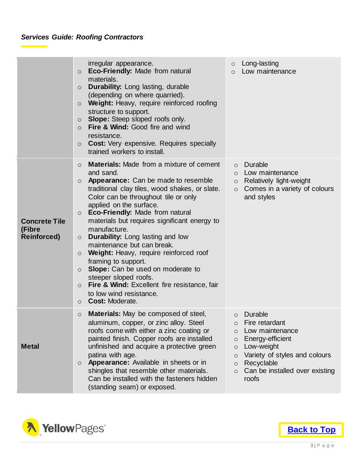# *Services Guide: Roofing Contractors*

|                                                      | irregular appearance.<br><b>Eco-Friendly: Made from natural</b><br>$\circ$<br>materials.<br><b>Durability:</b> Long lasting, durable<br>$\circ$<br>(depending on where quarried).<br>Weight: Heavy, require reinforced roofing<br>$\circ$<br>structure to support.<br><b>Slope:</b> Steep sloped roofs only.<br>$\circ$<br><b>Fire &amp; Wind: Good fire and wind</b><br>$\circ$<br>resistance.<br><b>Cost:</b> Very expensive. Requires specially<br>$\circ$<br>trained workers to install.                                                                                                                                                                                                                                                       | Long-lasting<br>$\circ$<br>Low maintenance<br>$\circ$                                                                                                                                                                                                      |
|------------------------------------------------------|----------------------------------------------------------------------------------------------------------------------------------------------------------------------------------------------------------------------------------------------------------------------------------------------------------------------------------------------------------------------------------------------------------------------------------------------------------------------------------------------------------------------------------------------------------------------------------------------------------------------------------------------------------------------------------------------------------------------------------------------------|------------------------------------------------------------------------------------------------------------------------------------------------------------------------------------------------------------------------------------------------------------|
| <b>Concrete Tile</b><br>(Fibre<br><b>Reinforced)</b> | <b>Materials:</b> Made from a mixture of cement<br>$\circ$<br>and sand.<br><b>Appearance:</b> Can be made to resemble<br>$\circ$<br>traditional clay tiles, wood shakes, or slate.<br>Color can be throughout tile or only<br>applied on the surface.<br>Eco-Friendly: Made from natural<br>$\circ$<br>materials but requires significant energy to<br>manufacture.<br><b>Durability:</b> Long lasting and low<br>$\circ$<br>maintenance but can break.<br>Weight: Heavy, require reinforced roof<br>$\circ$<br>framing to support.<br>Slope: Can be used on moderate to<br>$\circ$<br>steeper sloped roofs.<br><b>Fire &amp; Wind: Excellent fire resistance, fair</b><br>$\circ$<br>to low wind resistance.<br><b>Cost: Moderate.</b><br>$\circ$ | Durable<br>$\circ$<br>Low maintenance<br>$\circ$<br>Relatively light-weight<br>$\circ$<br>Comes in a variety of colours<br>$\circ$<br>and styles                                                                                                           |
| <b>Metal</b>                                         | <b>Materials:</b> May be composed of steel,<br>$\circ$<br>aluminum, copper, or zinc alloy. Steel<br>roofs come with either a zinc coating or<br>painted finish. Copper roofs are installed<br>unfinished and acquire a protective green<br>patina with age.<br><b>Appearance:</b> Available in sheets or in<br>$\circ$<br>shingles that resemble other materials.<br>Can be installed with the fasteners hidden<br>(standing seam) or exposed.                                                                                                                                                                                                                                                                                                     | Durable<br>$\circ$<br>Fire retardant<br>$\circ$<br>Low maintenance<br>$\circ$<br>Energy-efficient<br>$\circ$<br>Low-weight<br>O<br>Variety of styles and colours<br>$\circ$<br>Recyclable<br>$\circ$<br>Can be installed over existing<br>$\circ$<br>roofs |

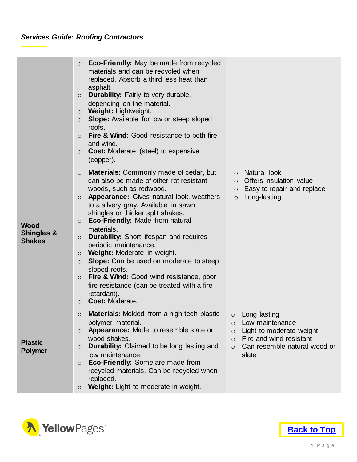# *Services Guide: Roofing Contractors*

|                                                       | <b>Eco-Friendly:</b> May be made from recycled<br>$\circ$<br>materials and can be recycled when<br>replaced. Absorb a third less heat than<br>asphalt.<br><b>Durability:</b> Fairly to very durable,<br>$\circ$<br>depending on the material.<br><b>Weight: Lightweight.</b><br>$\circ$<br><b>Slope:</b> Available for low or steep sloped<br>$\circ$<br>roofs.<br><b>Fire &amp; Wind: Good resistance to both fire</b><br>$\circ$<br>and wind.<br><b>Cost:</b> Moderate (steel) to expensive<br>$\circ$<br>(copper).                                                                                                                                                                                                          |                                                                                                                                                                                        |
|-------------------------------------------------------|--------------------------------------------------------------------------------------------------------------------------------------------------------------------------------------------------------------------------------------------------------------------------------------------------------------------------------------------------------------------------------------------------------------------------------------------------------------------------------------------------------------------------------------------------------------------------------------------------------------------------------------------------------------------------------------------------------------------------------|----------------------------------------------------------------------------------------------------------------------------------------------------------------------------------------|
| <b>Wood</b><br><b>Shingles &amp;</b><br><b>Shakes</b> | <b>Materials:</b> Commonly made of cedar, but<br>$\circ$<br>can also be made of other rot resistant<br>woods, such as redwood.<br><b>Appearance:</b> Gives natural look, weathers<br>$\circ$<br>to a silvery gray. Available in sawn<br>shingles or thicker split shakes.<br>Eco-Friendly: Made from natural<br>$\circ$<br>materials.<br><b>Durability:</b> Short lifespan and requires<br>$\circ$<br>periodic maintenance.<br><b>Weight:</b> Moderate in weight.<br>$\circ$<br><b>Slope:</b> Can be used on moderate to steep<br>$\circ$<br>sloped roofs.<br><b>Fire &amp; Wind:</b> Good wind resistance, poor<br>$\circ$<br>fire resistance (can be treated with a fire<br>retardant).<br><b>Cost: Moderate.</b><br>$\circ$ | Natural look<br>$\circ$<br>Offers insulation value<br>$\circ$<br>Easy to repair and replace<br>$\circ$<br>Long-lasting<br>$\circ$                                                      |
| <b>Plastic</b><br><b>Polymer</b>                      | Materials: Molded from a high-tech plastic<br>$\circ$<br>polymer material.<br>Appearance: Made to resemble slate or<br>$\circ$<br>wood shakes.<br>Durability: Claimed to be long lasting and<br>$\circ$<br>low maintenance.<br>Eco-Friendly: Some are made from<br>$\circ$<br>recycled materials. Can be recycled when<br>replaced.<br>Weight: Light to moderate in weight.<br>$\circ$                                                                                                                                                                                                                                                                                                                                         | Long lasting<br>$\circ$<br>Low maintenance<br>$\circ$<br>Light to moderate weight<br>$\circ$<br>Fire and wind resistant<br>$\circ$<br>Can resemble natural wood or<br>$\circ$<br>slate |

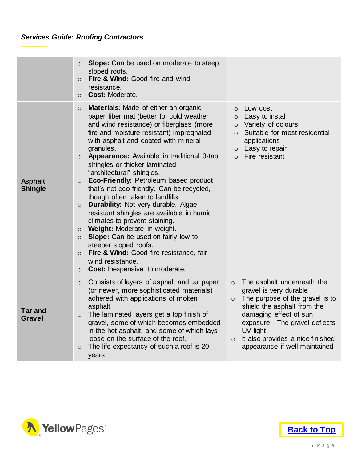# *Services Guide: Roofing Contractors*

|                                  | <b>Slope:</b> Can be used on moderate to steep<br>$\circ$<br>sloped roofs.<br>Fire & Wind: Good fire and wind<br>$\circ$<br>resistance.<br><b>Cost: Moderate.</b><br>$\circ$                                                                                                                                                                                                                                                                                                                                                                                                                                                                                                                                                                                                                                                                                                                   |                                                                                                                                                                                                                                                                                                      |
|----------------------------------|------------------------------------------------------------------------------------------------------------------------------------------------------------------------------------------------------------------------------------------------------------------------------------------------------------------------------------------------------------------------------------------------------------------------------------------------------------------------------------------------------------------------------------------------------------------------------------------------------------------------------------------------------------------------------------------------------------------------------------------------------------------------------------------------------------------------------------------------------------------------------------------------|------------------------------------------------------------------------------------------------------------------------------------------------------------------------------------------------------------------------------------------------------------------------------------------------------|
| <b>Asphalt</b><br><b>Shingle</b> | Materials: Made of either an organic<br>$\circ$<br>paper fiber mat (better for cold weather<br>and wind resistance) or fiberglass (more<br>fire and moisture resistant) impregnated<br>with asphalt and coated with mineral<br>granules.<br><b>Appearance:</b> Available in traditional 3-tab<br>$\circ$<br>shingles or thicker laminated<br>"architectural" shingles.<br>Eco-Friendly: Petroleum based product<br>$\circ$<br>that's not eco-friendly. Can be recycled,<br>though often taken to landfills.<br><b>Durability:</b> Not very durable. Algae<br>$\circ$<br>resistant shingles are available in humid<br>climates to prevent staining.<br>Weight: Moderate in weight.<br>$\circ$<br>Slope: Can be used on fairly low to<br>$\circ$<br>steeper sloped roofs.<br>Fire & Wind: Good fire resistance, fair<br>$\circ$<br>wind resistance.<br>Cost: Inexpensive to moderate.<br>$\circ$ | Low cost<br>$\circ$<br>Easy to install<br>$\circ$<br>Variety of colours<br>$\circ$<br>Suitable for most residential<br>$\circ$<br>applications<br>Easy to repair<br>$\circ$<br>Fire resistant<br>$\Omega$                                                                                            |
| <b>Tar and</b><br><b>Gravel</b>  | Consists of layers of asphalt and tar paper<br>$\circ$<br>(or newer, more sophisticated materials)<br>adhered with applications of molten<br>asphalt.<br>The laminated layers get a top finish of<br>$\circ$<br>gravel, some of which becomes embedded<br>in the hot asphalt, and some of which lays<br>loose on the surface of the roof.<br>The life expectancy of such a roof is 20<br>$\circ$<br>years.                                                                                                                                                                                                                                                                                                                                                                                                                                                                                     | The asphalt underneath the<br>$\circ$<br>gravel is very durable<br>The purpose of the gravel is to<br>$\circ$<br>shield the asphalt from the<br>damaging effect of sun<br>exposure - The gravel deflects<br>UV light<br>It also provides a nice finished<br>$\circ$<br>appearance if well maintained |



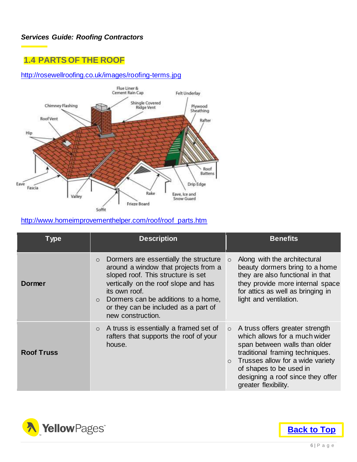# <span id="page-7-0"></span>**1.4 PARTS OF THE ROOF**

#### <http://rosewellroofing.co.uk/images/roofing-terms.jpg>



#### [http://www.homeimprovementhelper.com/roof/roof\\_parts.htm](http://www.homeimprovementhelper.com/roof/roof_parts.htm)

| <b>Type</b>       | <b>Description</b>                                                                                                                                                                                                                                                                                  | <b>Benefits</b>                                                                                                                                                                                                                                                          |
|-------------------|-----------------------------------------------------------------------------------------------------------------------------------------------------------------------------------------------------------------------------------------------------------------------------------------------------|--------------------------------------------------------------------------------------------------------------------------------------------------------------------------------------------------------------------------------------------------------------------------|
| Dormer            | Dormers are essentially the structure<br>$\circ$<br>around a window that projects from a<br>sloped roof. This structure is set<br>vertically on the roof slope and has<br>its own roof.<br>$\circ$ Dormers can be additions to a home,<br>or they can be included as a part of<br>new construction. | Along with the architectural<br>$\circ$<br>beauty dormers bring to a home<br>they are also functional in that<br>they provide more internal space<br>for attics as well as bringing in<br>light and ventilation.                                                         |
| <b>Roof Truss</b> | A truss is essentially a framed set of<br>$\circ$<br>rafters that supports the roof of your<br>house.                                                                                                                                                                                               | $\circ$ A truss offers greater strength<br>which allows for a much wider<br>span between walls than older<br>traditional framing techniques.<br>Trusses allow for a wide variety<br>of shapes to be used in<br>designing a roof since they offer<br>greater flexibility. |

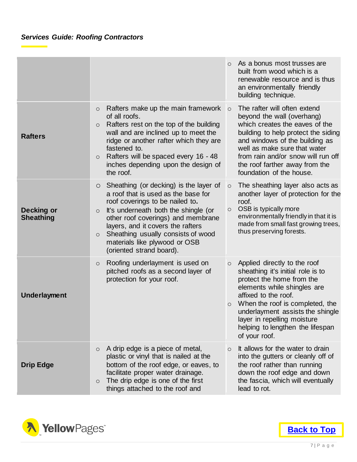|                                       |                                                                                                                                                                                                                                                                                                                                                                         | As a bonus most trusses are<br>$\bigcirc$<br>built from wood which is a<br>renewable resource and is thus<br>an environmentally friendly<br>building technique.                                                                                                                                                                        |
|---------------------------------------|-------------------------------------------------------------------------------------------------------------------------------------------------------------------------------------------------------------------------------------------------------------------------------------------------------------------------------------------------------------------------|----------------------------------------------------------------------------------------------------------------------------------------------------------------------------------------------------------------------------------------------------------------------------------------------------------------------------------------|
| <b>Rafters</b>                        | Rafters make up the main framework<br>$\circ$<br>of all roofs.<br>Rafters rest on the top of the building<br>$\circ$<br>wall and are inclined up to meet the<br>ridge or another rafter which they are<br>fastened to.<br>Rafters will be spaced every 16 - 48<br>$\circ$<br>inches depending upon the design of<br>the roof.                                           | The rafter will often extend<br>$\circ$<br>beyond the wall (overhang)<br>which creates the eaves of the<br>building to help protect the siding<br>and windows of the building as<br>well as make sure that water<br>from rain and/or snow will run off<br>the roof farther away from the<br>foundation of the house.                   |
| <b>Decking or</b><br><b>Sheathing</b> | Sheathing (or decking) is the layer of<br>$\circ$<br>a roof that is used as the base for<br>roof coverings to be nailed to.<br>It's underneath both the shingle (or<br>$\circ$<br>other roof coverings) and membrane<br>layers, and it covers the rafters<br>Sheathing usually consists of wood<br>$\circ$<br>materials like plywood or OSB<br>(oriented strand board). | The sheathing layer also acts as<br>$\circ$<br>another layer of protection for the<br>roof.<br>OSB is typically more<br>$\circ$<br>environmentally friendly in that it is<br>made from small fast growing trees,<br>thus preserving forests.                                                                                           |
| <b>Underlayment</b>                   | Roofing underlayment is used on<br>$\circ$<br>pitched roofs as a second layer of<br>protection for your roof.                                                                                                                                                                                                                                                           | Applied directly to the roof<br>$\circ$<br>sheathing it's initial role is to<br>protect the home from the<br>elements while shingles are<br>affixed to the roof.<br>When the roof is completed, the<br>$\circ$<br>underlayment assists the shingle<br>layer in repelling moisture<br>helping to lengthen the lifespan<br>of your roof. |
| <b>Drip Edge</b>                      | A drip edge is a piece of metal,<br>$\circ$<br>plastic or vinyl that is nailed at the<br>bottom of the roof edge, or eaves, to<br>facilitate proper water drainage.<br>The drip edge is one of the first<br>$\circ$<br>things attached to the roof and                                                                                                                  | It allows for the water to drain<br>$\circ$<br>into the gutters or cleanly off of<br>the roof rather than running<br>down the roof edge and down<br>the fascia, which will eventually<br>lead to rot.                                                                                                                                  |

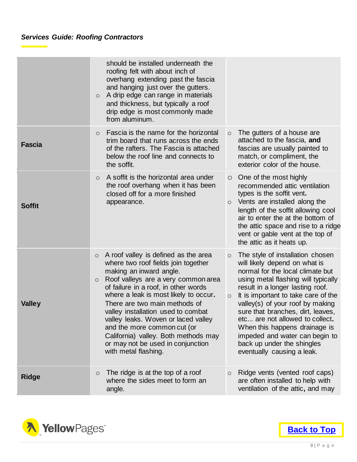|               | should be installed underneath the<br>roofing felt with about inch of<br>overhang extending past the fascia<br>and hanging just over the gutters.                                                                                                                                                                                                                                                                                                                                                      |                                                                                                                                                                                                                                                                                                                                                                                                                                                                                          |
|---------------|--------------------------------------------------------------------------------------------------------------------------------------------------------------------------------------------------------------------------------------------------------------------------------------------------------------------------------------------------------------------------------------------------------------------------------------------------------------------------------------------------------|------------------------------------------------------------------------------------------------------------------------------------------------------------------------------------------------------------------------------------------------------------------------------------------------------------------------------------------------------------------------------------------------------------------------------------------------------------------------------------------|
|               | A drip edge can range in materials<br>$\circ$<br>and thickness, but typically a roof<br>drip edge is most commonly made<br>from aluminum.                                                                                                                                                                                                                                                                                                                                                              |                                                                                                                                                                                                                                                                                                                                                                                                                                                                                          |
| <b>Fascia</b> | Fascia is the name for the horizontal<br>$\circ$<br>trim board that runs across the ends<br>of the rafters. The Fascia is attached<br>below the roof line and connects to<br>the soffit.                                                                                                                                                                                                                                                                                                               | The gutters of a house are<br>$\circ$<br>attached to the fascia, and<br>fascias are usually painted to<br>match, or compliment, the<br>exterior color of the house.                                                                                                                                                                                                                                                                                                                      |
| <b>Soffit</b> | A soffit is the horizontal area under<br>$\circ$<br>the roof overhang when it has been<br>closed off for a more finished<br>appearance.                                                                                                                                                                                                                                                                                                                                                                | $\circ$ One of the most highly<br>recommended attic ventilation<br>types is the soffit vent.<br>Vents are installed along the<br>$\circ$<br>length of the soffit allowing cool<br>air to enter the at the bottom of<br>the attic space and rise to a ridge<br>vent or gable vent at the top of<br>the attic as it heats up.                                                                                                                                                              |
| <b>Valley</b> | A roof valley is defined as the area<br>$\circ$<br>where two roof fields join together<br>making an inward angle.<br>Roof valleys are a very common area<br>$\circ$<br>of failure in a roof, in other words<br>where a leak is most likely to occur.<br>There are two main methods of<br>valley installation used to combat<br>valley leaks. Woven or laced valley<br>and the more common cut (or<br>California) valley. Both methods may<br>or may not be used in conjunction<br>with metal flashing. | The style of installation chosen<br>$\circ$<br>will likely depend on what is<br>normal for the local climate but<br>using metal flashing will typically<br>result in a longer lasting roof.<br>It is important to take care of the<br>$\circ$<br>valley(s) of your roof by making<br>sure that branches, dirt, leaves,<br>etc are not allowed to collect.<br>When this happens drainage is<br>impeded and water can begin to<br>back up under the shingles<br>eventually causing a leak. |
| <b>Ridge</b>  | The ridge is at the top of a roof<br>$\circ$<br>where the sides meet to form an<br>angle.                                                                                                                                                                                                                                                                                                                                                                                                              | Ridge vents (vented roof caps)<br>$\circ$<br>are often installed to help with<br>ventilation of the attic, and may                                                                                                                                                                                                                                                                                                                                                                       |

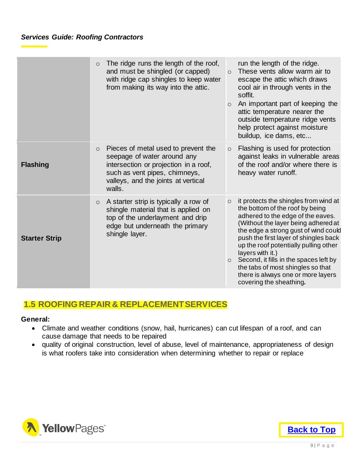|                      | The ridge runs the length of the roof,<br>$\circ$<br>and must be shingled (or capped)<br>with ridge cap shingles to keep water<br>from making its way into the attic.                                                | run the length of the ridge.<br>These vents allow warm air to<br>$\circ$<br>escape the attic which draws<br>cool air in through vents in the<br>soffit.<br>An important part of keeping the<br>$\circ$<br>attic temperature nearer the<br>outside temperature ridge vents<br>help protect against moisture<br>buildup, ice dams, etc                                                                                                                                     |
|----------------------|----------------------------------------------------------------------------------------------------------------------------------------------------------------------------------------------------------------------|--------------------------------------------------------------------------------------------------------------------------------------------------------------------------------------------------------------------------------------------------------------------------------------------------------------------------------------------------------------------------------------------------------------------------------------------------------------------------|
| <b>Flashing</b>      | Pieces of metal used to prevent the<br>$\circlearrowright$<br>seepage of water around any<br>intersection or projection in a roof,<br>such as vent pipes, chimneys,<br>valleys, and the joints at vertical<br>walls. | Flashing is used for protection<br>$\circ$<br>against leaks in vulnerable areas<br>of the roof and/or where there is<br>heavy water runoff.                                                                                                                                                                                                                                                                                                                              |
| <b>Starter Strip</b> | A starter strip is typically a row of<br>$\circ$<br>shingle material that is applied on<br>top of the underlayment and drip<br>edge but underneath the primary<br>shingle layer.                                     | it protects the shingles from wind at<br>$\circ$<br>the bottom of the roof by being<br>adhered to the edge of the eaves.<br>(Without the layer being adhered at<br>the edge a strong gust of wind could<br>push the first layer of shingles back<br>up the roof potentially pulling other<br>layers with it.)<br>Second, it fills in the spaces left by<br>$\circ$<br>the tabs of most shingles so that<br>there is always one or more layers<br>covering the sheathing. |

# <span id="page-10-0"></span>**1.5 ROOFING REPAIR & REPLACEMENT SERVICES**

#### **General:**

- Climate and weather conditions (snow, hail, hurricanes) can cut lifespan of a roof, and can cause damage that needs to be repaired
- quality of original construction, level of abuse, level of maintenance, appropriateness of design is what roofers take into consideration when determining whether to repair or replace



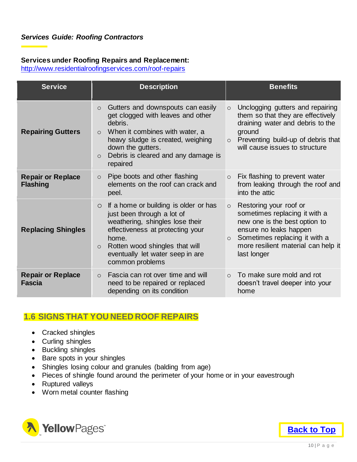#### **Services under Roofing Repairs and Replacement:**

<http://www.residentialroofingservices.com/roof-repairs>

| <b>Service</b>                              | <b>Description</b>                                                                                                                                                                                                                                                 | <b>Benefits</b>                                                                                                                                                                                                                 |
|---------------------------------------------|--------------------------------------------------------------------------------------------------------------------------------------------------------------------------------------------------------------------------------------------------------------------|---------------------------------------------------------------------------------------------------------------------------------------------------------------------------------------------------------------------------------|
| <b>Repairing Gutters</b>                    | Gutters and downspouts can easily<br>$\circ$<br>get clogged with leaves and other<br>debris.<br>When it combines with water, a<br>$\circ$<br>heavy sludge is created, weighing<br>down the gutters.<br>Debris is cleared and any damage is<br>$\circ$<br>repaired  | Unclogging gutters and repairing<br>$\circ$<br>them so that they are effectively<br>draining water and debris to the<br>ground<br>Preventing build-up of debris that<br>$\circ$<br>will cause issues to structure               |
| <b>Repair or Replace</b><br><b>Flashing</b> | Pipe boots and other flashing<br>$\circ$<br>elements on the roof can crack and<br>peel.                                                                                                                                                                            | Fix flashing to prevent water<br>$\circ$<br>from leaking through the roof and<br>into the attic                                                                                                                                 |
| <b>Replacing Shingles</b>                   | If a home or building is older or has<br>$\circ$<br>just been through a lot of<br>weathering, shingles lose their<br>effectiveness at protecting your<br>home.<br>Rotten wood shingles that will<br>$\circ$<br>eventually let water seep in are<br>common problems | Restoring your roof or<br>$\circ$<br>sometimes replacing it with a<br>new one is the best option to<br>ensure no leaks happen<br>Sometimes replacing it with a<br>$\circ$<br>more resilient material can help it<br>last longer |
| <b>Repair or Replace</b><br><b>Fascia</b>   | Fascia can rot over time and will<br>$\circ$<br>need to be repaired or replaced<br>depending on its condition                                                                                                                                                      | To make sure mold and rot<br>$\Omega$<br>doesn't travel deeper into your<br>home                                                                                                                                                |

# <span id="page-11-0"></span>**1.6 SIGNS THAT YOU NEED ROOF REPAIRS**

- Cracked shingles
- Curling shingles
- Buckling shingles
- Bare spots in your shingles
- Shingles losing colour and granules (balding from age)
- Pieces of shingle found around the perimeter of your home or in your eavestrough
- Ruptured valleys
- Worn metal counter flashing



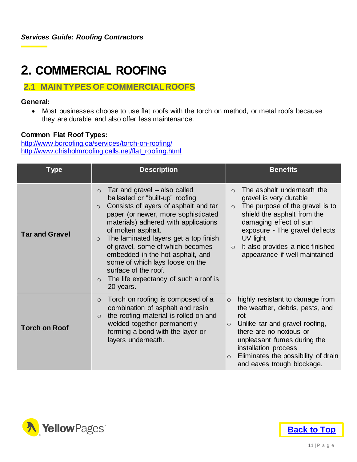# <span id="page-12-0"></span>**2. COMMERCIAL ROOFING**

### <span id="page-12-1"></span>**2.1 MAIN TYPES OF COMMERCIAL ROOFS**

#### **General:**

 Most businesses choose to use flat roofs with the torch on method, or metal roofs because they are durable and also offer less maintenance.

#### **Common Flat Roof Types:**

<http://www.bcroofing.ca/services/torch-on-roofing/> [http://www.chisholmroofing.calls.net/flat\\_roofing.html](http://www.chisholmroofing.calls.net/flat_roofing.html)

| <b>Type</b>           | <b>Description</b>                                                                                                                                                                                                                                                                                                                                                                                                                                                                          | <b>Benefits</b>                                                                                                                                                                                                                                                                                      |
|-----------------------|---------------------------------------------------------------------------------------------------------------------------------------------------------------------------------------------------------------------------------------------------------------------------------------------------------------------------------------------------------------------------------------------------------------------------------------------------------------------------------------------|------------------------------------------------------------------------------------------------------------------------------------------------------------------------------------------------------------------------------------------------------------------------------------------------------|
| <b>Tar and Gravel</b> | Tar and gravel – also called<br>$\circ$<br>ballasted or "built-up" roofing<br>Consists of layers of asphalt and tar<br>$\circ$<br>paper (or newer, more sophisticated<br>materials) adhered with applications<br>of molten asphalt.<br>The laminated layers get a top finish<br>$\circ$<br>of gravel, some of which becomes<br>embedded in the hot asphalt, and<br>some of which lays loose on the<br>surface of the roof.<br>The life expectancy of such a roof is<br>$\circ$<br>20 years. | The asphalt underneath the<br>$\circ$<br>gravel is very durable<br>The purpose of the gravel is to<br>$\circ$<br>shield the asphalt from the<br>damaging effect of sun<br>exposure - The gravel deflects<br>UV light<br>It also provides a nice finished<br>$\circ$<br>appearance if well maintained |
| <b>Torch on Roof</b>  | Torch on roofing is composed of a<br>$\circ$<br>combination of asphalt and resin<br>the roofing material is rolled on and<br>$\circ$<br>welded together permanently<br>forming a bond with the layer or<br>layers underneath.                                                                                                                                                                                                                                                               | $\circ$ highly resistant to damage from<br>the weather, debris, pests, and<br>rot<br>$\circ$ Unlike tar and gravel roofing,<br>there are no noxious or<br>unpleasant fumes during the<br>installation process<br>Eliminates the possibility of drain<br>$\circ$<br>and eaves trough blockage.        |